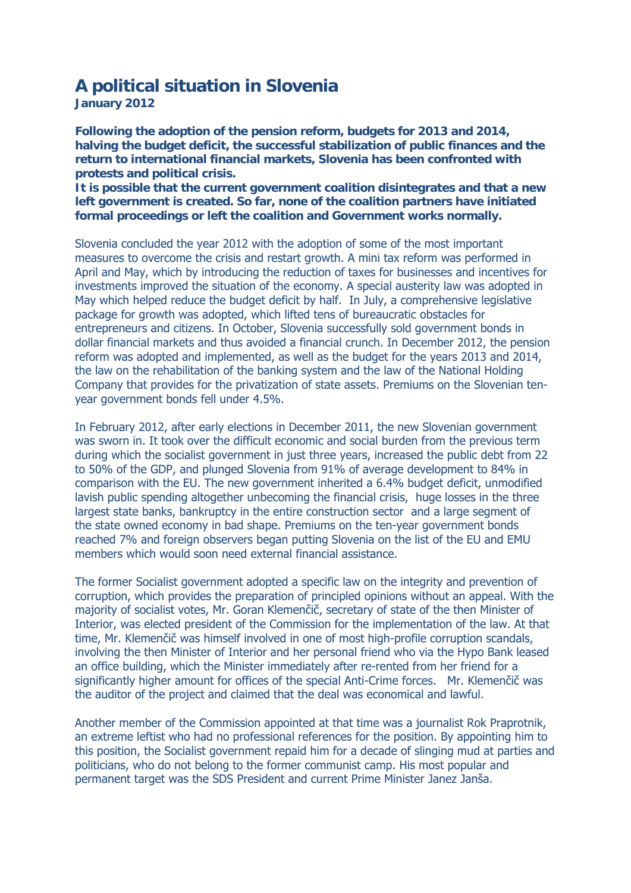## **A political situation in Slovenia**

**January 2012** 

**Following the adoption of the pension reform, budgets for 2013 and 2014, halving the budget deficit, the successful stabilization of public finances and the return to international financial markets, Slovenia has been confronted with protests and political crisis.** 

**It is possible that the current government coalition disintegrates and that a new left government is created. So far, none of the coalition partners have initiated formal proceedings or left the coalition and Government works normally.** 

Slovenia concluded the year 2012 with the adoption of some of the most important measures to overcome the crisis and restart growth. A mini tax reform was performed in April and May, which by introducing the reduction of taxes for businesses and incentives for investments improved the situation of the economy. A special austerity law was adopted in May which helped reduce the budget deficit by half. In July, a comprehensive legislative package for growth was adopted, which lifted tens of bureaucratic obstacles for entrepreneurs and citizens. In October, Slovenia successfully sold government bonds in dollar financial markets and thus avoided a financial crunch. In December 2012, the pension reform was adopted and implemented, as well as the budget for the years 2013 and 2014, the law on the rehabilitation of the banking system and the law of the National Holding Company that provides for the privatization of state assets. Premiums on the Slovenian tenyear government bonds fell under 4.5%.

In February 2012, after early elections in December 2011, the new Slovenian government was sworn in. It took over the difficult economic and social burden from the previous term during which the socialist government in just three years, increased the public debt from 22 to 50% of the GDP, and plunged Slovenia from 91% of average development to 84% in comparison with the EU. The new government inherited a 6.4% budget deficit, unmodified lavish public spending altogether unbecoming the financial crisis, huge losses in the three largest state banks, bankruptcy in the entire construction sector and a large segment of the state owned economy in bad shape. Premiums on the ten-year government bonds reached 7% and foreign observers began putting Slovenia on the list of the EU and EMU members which would soon need external financial assistance.

The former Socialist government adopted a specific law on the integrity and prevention of corruption, which provides the preparation of principled opinions without an appeal. With the majority of socialist votes, Mr. Goran Klemenčič, secretary of state of the then Minister of Interior, was elected president of the Commission for the implementation of the law. At that time, Mr. Klemenčič was himself involved in one of most high-profile corruption scandals, involving the then Minister of Interior and her personal friend who via the Hypo Bank leased an office building, which the Minister immediately after re-rented from her friend for a significantly higher amount for offices of the special Anti-Crime forces. Mr. Klemenčič was the auditor of the project and claimed that the deal was economical and lawful.

Another member of the Commission appointed at that time was a journalist Rok Praprotnik, an extreme leftist who had no professional references for the position. By appointing him to this position, the Socialist government repaid him for a decade of slinging mud at parties and politicians, who do not belong to the former communist camp. His most popular and permanent target was the SDS President and current Prime Minister Janez Janša.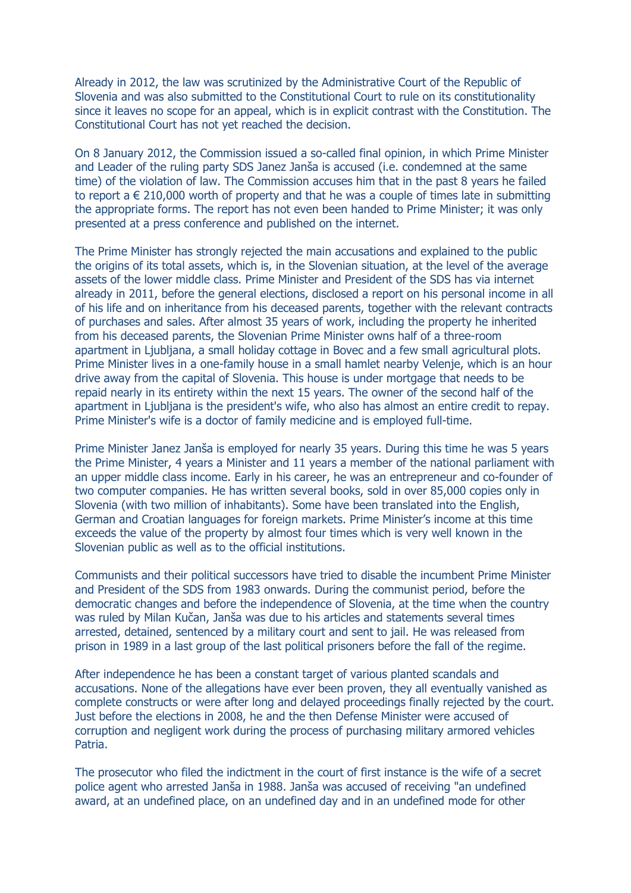Already in 2012, the law was scrutinized by the Administrative Court of the Republic of Slovenia and was also submitted to the Constitutional Court to rule on its constitutionality since it leaves no scope for an appeal, which is in explicit contrast with the Constitution. The Constitutional Court has not yet reached the decision.

On 8 January 2012, the Commission issued a so-called final opinion, in which Prime Minister and Leader of the ruling party SDS Janez Janša is accused (i.e. condemned at the same time) of the violation of law. The Commission accuses him that in the past 8 years he failed to report a  $\epsilon$  210,000 worth of property and that he was a couple of times late in submitting the appropriate forms. The report has not even been handed to Prime Minister; it was only presented at a press conference and published on the internet.

The Prime Minister has strongly rejected the main accusations and explained to the public the origins of its total assets, which is, in the Slovenian situation, at the level of the average assets of the lower middle class. Prime Minister and President of the SDS has via internet already in 2011, before the general elections, disclosed a report on his personal income in all of his life and on inheritance from his deceased parents, together with the relevant contracts of purchases and sales. After almost 35 years of work, including the property he inherited from his deceased parents, the Slovenian Prime Minister owns half of a three-room apartment in Ljubljana, a small holiday cottage in Bovec and a few small agricultural plots. Prime Minister lives in a one-family house in a small hamlet nearby Velenje, which is an hour drive away from the capital of Slovenia. This house is under mortgage that needs to be repaid nearly in its entirety within the next 15 years. The owner of the second half of the apartment in Ljubljana is the president's wife, who also has almost an entire credit to repay. Prime Minister's wife is a doctor of family medicine and is employed full-time.

Prime Minister Janez Janša is employed for nearly 35 years. During this time he was 5 years the Prime Minister, 4 years a Minister and 11 years a member of the national parliament with an upper middle class income. Early in his career, he was an entrepreneur and co-founder of two computer companies. He has written several books, sold in over 85,000 copies only in Slovenia (with two million of inhabitants). Some have been translated into the English, German and Croatian languages for foreign markets. Prime Minister's income at this time exceeds the value of the property by almost four times which is very well known in the Slovenian public as well as to the official institutions.

Communists and their political successors have tried to disable the incumbent Prime Minister and President of the SDS from 1983 onwards. During the communist period, before the democratic changes and before the independence of Slovenia, at the time when the country was ruled by Milan Kučan, Janša was due to his articles and statements several times arrested, detained, sentenced by a military court and sent to jail. He was released from prison in 1989 in a last group of the last political prisoners before the fall of the regime.

After independence he has been a constant target of various planted scandals and accusations. None of the allegations have ever been proven, they all eventually vanished as complete constructs or were after long and delayed proceedings finally rejected by the court. Just before the elections in 2008, he and the then Defense Minister were accused of corruption and negligent work during the process of purchasing military armored vehicles Patria.

The prosecutor who filed the indictment in the court of first instance is the wife of a secret police agent who arrested Janša in 1988. Janša was accused of receiving "an undefined award, at an undefined place, on an undefined day and in an undefined mode for other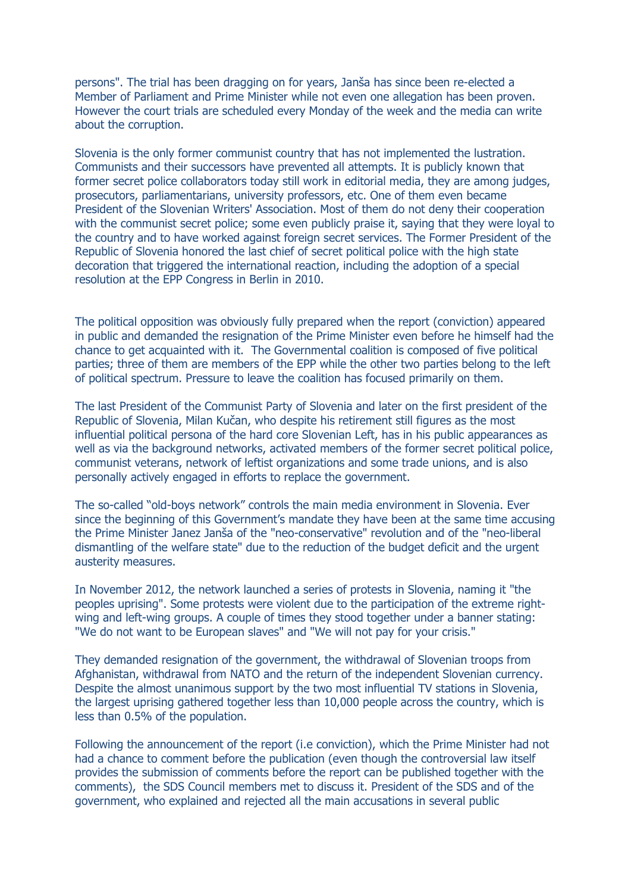persons". The trial has been dragging on for years, Janša has since been re-elected a Member of Parliament and Prime Minister while not even one allegation has been proven. However the court trials are scheduled every Monday of the week and the media can write about the corruption.

Slovenia is the only former communist country that has not implemented the lustration. Communists and their successors have prevented all attempts. It is publicly known that former secret police collaborators today still work in editorial media, they are among judges, prosecutors, parliamentarians, university professors, etc. One of them even became President of the Slovenian Writers' Association. Most of them do not deny their cooperation with the communist secret police; some even publicly praise it, saying that they were loyal to the country and to have worked against foreign secret services. The Former President of the Republic of Slovenia honored the last chief of secret political police with the high state decoration that triggered the international reaction, including the adoption of a special resolution at the EPP Congress in Berlin in 2010.

The political opposition was obviously fully prepared when the report (conviction) appeared in public and demanded the resignation of the Prime Minister even before he himself had the chance to get acquainted with it. The Governmental coalition is composed of five political parties; three of them are members of the EPP while the other two parties belong to the left of political spectrum. Pressure to leave the coalition has focused primarily on them.

The last President of the Communist Party of Slovenia and later on the first president of the Republic of Slovenia, Milan Kučan, who despite his retirement still figures as the most influential political persona of the hard core Slovenian Left, has in his public appearances as well as via the background networks, activated members of the former secret political police, communist veterans, network of leftist organizations and some trade unions, and is also personally actively engaged in efforts to replace the government.

The so-called "old-boys network" controls the main media environment in Slovenia. Ever since the beginning of this Government's mandate they have been at the same time accusing the Prime Minister Janez Janša of the "neo-conservative" revolution and of the "neo-liberal dismantling of the welfare state" due to the reduction of the budget deficit and the urgent austerity measures.

In November 2012, the network launched a series of protests in Slovenia, naming it "the peoples uprising". Some protests were violent due to the participation of the extreme rightwing and left-wing groups. A couple of times they stood together under a banner stating: "We do not want to be European slaves" and "We will not pay for your crisis."

They demanded resignation of the government, the withdrawal of Slovenian troops from Afghanistan, withdrawal from NATO and the return of the independent Slovenian currency. Despite the almost unanimous support by the two most influential TV stations in Slovenia, the largest uprising gathered together less than 10,000 people across the country, which is less than 0.5% of the population.

Following the announcement of the report (i.e conviction), which the Prime Minister had not had a chance to comment before the publication (even though the controversial law itself provides the submission of comments before the report can be published together with the comments), the SDS Council members met to discuss it. President of the SDS and of the government, who explained and rejected all the main accusations in several public